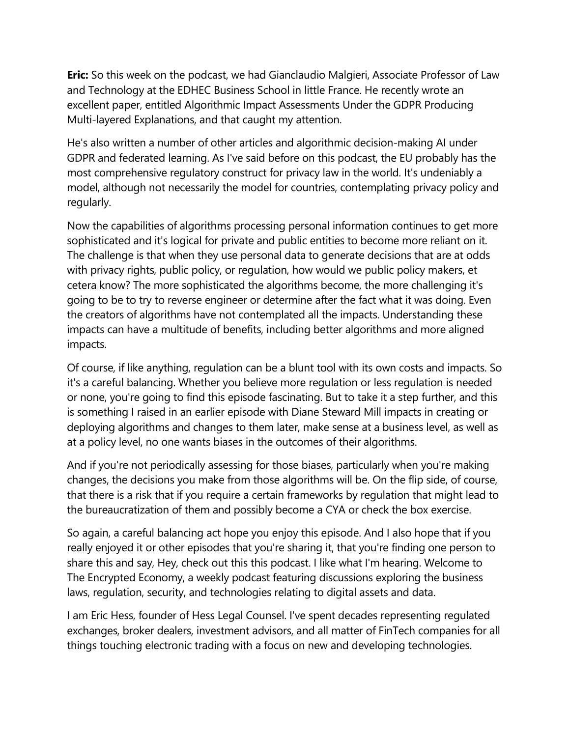**Eric:** So this week on the podcast, we had Gianclaudio Malgieri, Associate Professor of Law and Technology at the EDHEC Business School in little France. He recently wrote an excellent paper, entitled Algorithmic Impact Assessments Under the GDPR Producing Multi-layered Explanations, and that caught my attention.

He's also written a number of other articles and algorithmic decision-making AI under GDPR and federated learning. As I've said before on this podcast, the EU probably has the most comprehensive regulatory construct for privacy law in the world. It's undeniably a model, although not necessarily the model for countries, contemplating privacy policy and regularly.

Now the capabilities of algorithms processing personal information continues to get more sophisticated and it's logical for private and public entities to become more reliant on it. The challenge is that when they use personal data to generate decisions that are at odds with privacy rights, public policy, or regulation, how would we public policy makers, et cetera know? The more sophisticated the algorithms become, the more challenging it's going to be to try to reverse engineer or determine after the fact what it was doing. Even the creators of algorithms have not contemplated all the impacts. Understanding these impacts can have a multitude of benefits, including better algorithms and more aligned impacts.

Of course, if like anything, regulation can be a blunt tool with its own costs and impacts. So it's a careful balancing. Whether you believe more regulation or less regulation is needed or none, you're going to find this episode fascinating. But to take it a step further, and this is something I raised in an earlier episode with Diane Steward Mill impacts in creating or deploying algorithms and changes to them later, make sense at a business level, as well as at a policy level, no one wants biases in the outcomes of their algorithms.

And if you're not periodically assessing for those biases, particularly when you're making changes, the decisions you make from those algorithms will be. On the flip side, of course, that there is a risk that if you require a certain frameworks by regulation that might lead to the bureaucratization of them and possibly become a CYA or check the box exercise.

So again, a careful balancing act hope you enjoy this episode. And I also hope that if you really enjoyed it or other episodes that you're sharing it, that you're finding one person to share this and say, Hey, check out this this podcast. I like what I'm hearing. Welcome to The Encrypted Economy, a weekly podcast featuring discussions exploring the business laws, regulation, security, and technologies relating to digital assets and data.

I am Eric Hess, founder of Hess Legal Counsel. I've spent decades representing regulated exchanges, broker dealers, investment advisors, and all matter of FinTech companies for all things touching electronic trading with a focus on new and developing technologies.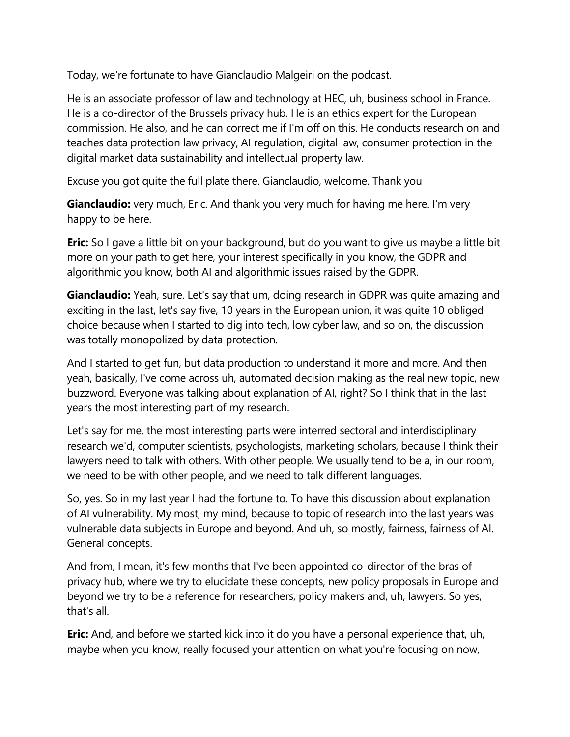Today, we're fortunate to have Gianclaudio Malgeiri on the podcast.

He is an associate professor of law and technology at HEC, uh, business school in France. He is a co-director of the Brussels privacy hub. He is an ethics expert for the European commission. He also, and he can correct me if I'm off on this. He conducts research on and teaches data protection law privacy, AI regulation, digital law, consumer protection in the digital market data sustainability and intellectual property law.

Excuse you got quite the full plate there. Gianclaudio, welcome. Thank you

**Gianclaudio:** very much, Eric. And thank you very much for having me here. I'm very happy to be here.

**Eric:** So I gave a little bit on your background, but do you want to give us maybe a little bit more on your path to get here, your interest specifically in you know, the GDPR and algorithmic you know, both AI and algorithmic issues raised by the GDPR.

**Gianclaudio:** Yeah, sure. Let's say that um, doing research in GDPR was quite amazing and exciting in the last, let's say five, 10 years in the European union, it was quite 10 obliged choice because when I started to dig into tech, low cyber law, and so on, the discussion was totally monopolized by data protection.

And I started to get fun, but data production to understand it more and more. And then yeah, basically, I've come across uh, automated decision making as the real new topic, new buzzword. Everyone was talking about explanation of AI, right? So I think that in the last years the most interesting part of my research.

Let's say for me, the most interesting parts were interred sectoral and interdisciplinary research we'd, computer scientists, psychologists, marketing scholars, because I think their lawyers need to talk with others. With other people. We usually tend to be a, in our room, we need to be with other people, and we need to talk different languages.

So, yes. So in my last year I had the fortune to. To have this discussion about explanation of AI vulnerability. My most, my mind, because to topic of research into the last years was vulnerable data subjects in Europe and beyond. And uh, so mostly, fairness, fairness of AI. General concepts.

And from, I mean, it's few months that I've been appointed co-director of the bras of privacy hub, where we try to elucidate these concepts, new policy proposals in Europe and beyond we try to be a reference for researchers, policy makers and, uh, lawyers. So yes, that's all.

**Eric:** And, and before we started kick into it do you have a personal experience that, uh, maybe when you know, really focused your attention on what you're focusing on now,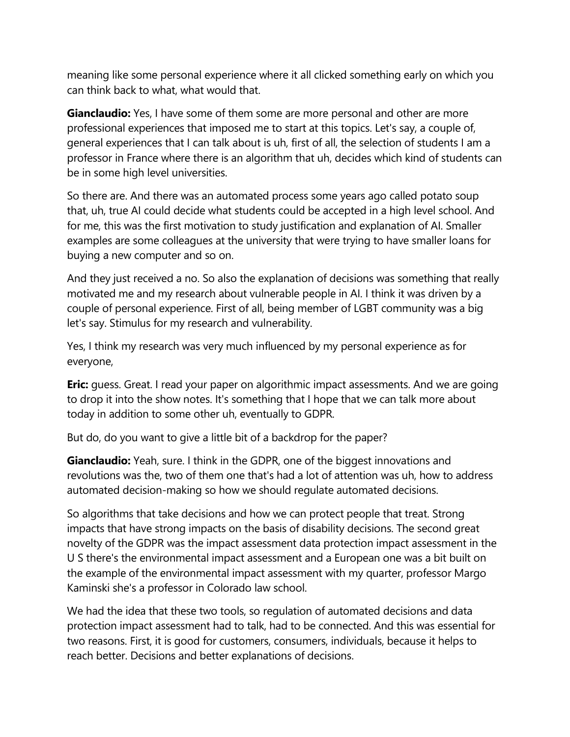meaning like some personal experience where it all clicked something early on which you can think back to what, what would that.

**Gianclaudio:** Yes, I have some of them some are more personal and other are more professional experiences that imposed me to start at this topics. Let's say, a couple of, general experiences that I can talk about is uh, first of all, the selection of students I am a professor in France where there is an algorithm that uh, decides which kind of students can be in some high level universities.

So there are. And there was an automated process some years ago called potato soup that, uh, true AI could decide what students could be accepted in a high level school. And for me, this was the first motivation to study justification and explanation of AI. Smaller examples are some colleagues at the university that were trying to have smaller loans for buying a new computer and so on.

And they just received a no. So also the explanation of decisions was something that really motivated me and my research about vulnerable people in AI. I think it was driven by a couple of personal experience. First of all, being member of LGBT community was a big let's say. Stimulus for my research and vulnerability.

Yes, I think my research was very much influenced by my personal experience as for everyone,

**Eric:** guess. Great. I read your paper on algorithmic impact assessments. And we are going to drop it into the show notes. It's something that I hope that we can talk more about today in addition to some other uh, eventually to GDPR.

But do, do you want to give a little bit of a backdrop for the paper?

**Gianclaudio:** Yeah, sure. I think in the GDPR, one of the biggest innovations and revolutions was the, two of them one that's had a lot of attention was uh, how to address automated decision-making so how we should regulate automated decisions.

So algorithms that take decisions and how we can protect people that treat. Strong impacts that have strong impacts on the basis of disability decisions. The second great novelty of the GDPR was the impact assessment data protection impact assessment in the U S there's the environmental impact assessment and a European one was a bit built on the example of the environmental impact assessment with my quarter, professor Margo Kaminski she's a professor in Colorado law school.

We had the idea that these two tools, so regulation of automated decisions and data protection impact assessment had to talk, had to be connected. And this was essential for two reasons. First, it is good for customers, consumers, individuals, because it helps to reach better. Decisions and better explanations of decisions.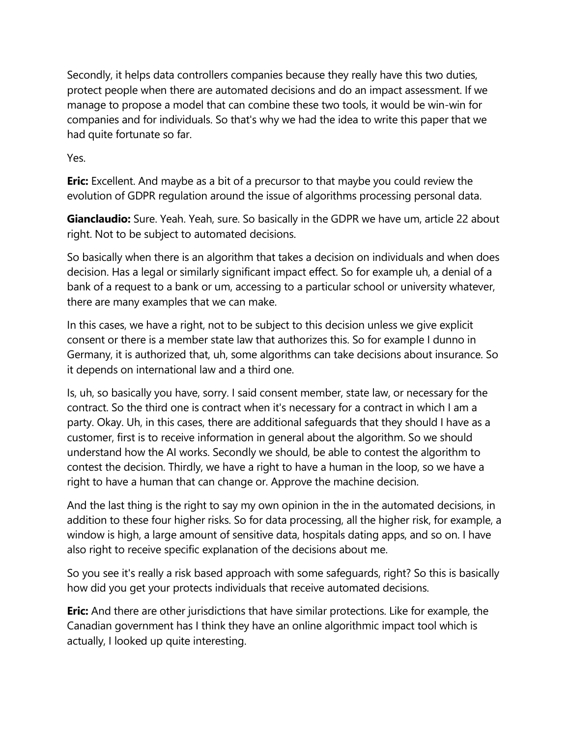Secondly, it helps data controllers companies because they really have this two duties, protect people when there are automated decisions and do an impact assessment. If we manage to propose a model that can combine these two tools, it would be win-win for companies and for individuals. So that's why we had the idea to write this paper that we had quite fortunate so far.

Yes.

**Eric:** Excellent. And maybe as a bit of a precursor to that maybe you could review the evolution of GDPR regulation around the issue of algorithms processing personal data.

**Gianclaudio:** Sure. Yeah. Yeah, sure. So basically in the GDPR we have um, article 22 about right. Not to be subject to automated decisions.

So basically when there is an algorithm that takes a decision on individuals and when does decision. Has a legal or similarly significant impact effect. So for example uh, a denial of a bank of a request to a bank or um, accessing to a particular school or university whatever, there are many examples that we can make.

In this cases, we have a right, not to be subject to this decision unless we give explicit consent or there is a member state law that authorizes this. So for example I dunno in Germany, it is authorized that, uh, some algorithms can take decisions about insurance. So it depends on international law and a third one.

Is, uh, so basically you have, sorry. I said consent member, state law, or necessary for the contract. So the third one is contract when it's necessary for a contract in which I am a party. Okay. Uh, in this cases, there are additional safeguards that they should I have as a customer, first is to receive information in general about the algorithm. So we should understand how the AI works. Secondly we should, be able to contest the algorithm to contest the decision. Thirdly, we have a right to have a human in the loop, so we have a right to have a human that can change or. Approve the machine decision.

And the last thing is the right to say my own opinion in the in the automated decisions, in addition to these four higher risks. So for data processing, all the higher risk, for example, a window is high, a large amount of sensitive data, hospitals dating apps, and so on. I have also right to receive specific explanation of the decisions about me.

So you see it's really a risk based approach with some safeguards, right? So this is basically how did you get your protects individuals that receive automated decisions.

**Eric:** And there are other jurisdictions that have similar protections. Like for example, the Canadian government has I think they have an online algorithmic impact tool which is actually, I looked up quite interesting.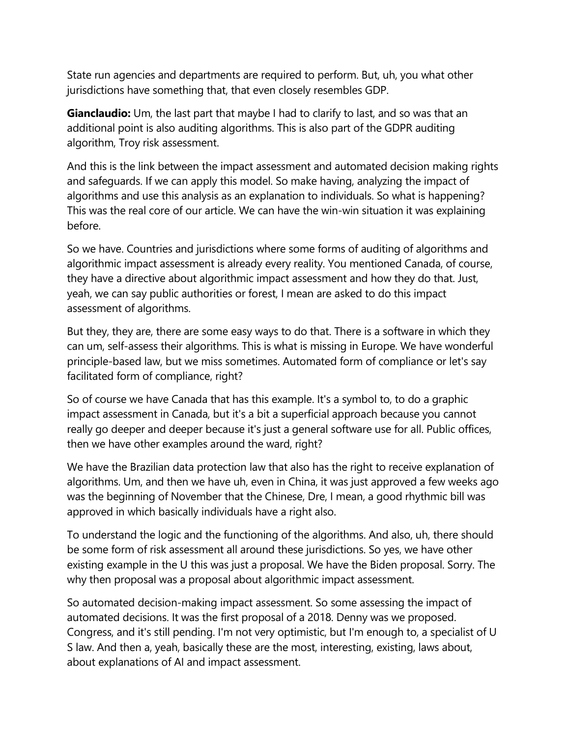State run agencies and departments are required to perform. But, uh, you what other jurisdictions have something that, that even closely resembles GDP.

**Gianclaudio:** Um, the last part that maybe I had to clarify to last, and so was that an additional point is also auditing algorithms. This is also part of the GDPR auditing algorithm, Troy risk assessment.

And this is the link between the impact assessment and automated decision making rights and safeguards. If we can apply this model. So make having, analyzing the impact of algorithms and use this analysis as an explanation to individuals. So what is happening? This was the real core of our article. We can have the win-win situation it was explaining before.

So we have. Countries and jurisdictions where some forms of auditing of algorithms and algorithmic impact assessment is already every reality. You mentioned Canada, of course, they have a directive about algorithmic impact assessment and how they do that. Just, yeah, we can say public authorities or forest, I mean are asked to do this impact assessment of algorithms.

But they, they are, there are some easy ways to do that. There is a software in which they can um, self-assess their algorithms. This is what is missing in Europe. We have wonderful principle-based law, but we miss sometimes. Automated form of compliance or let's say facilitated form of compliance, right?

So of course we have Canada that has this example. It's a symbol to, to do a graphic impact assessment in Canada, but it's a bit a superficial approach because you cannot really go deeper and deeper because it's just a general software use for all. Public offices, then we have other examples around the ward, right?

We have the Brazilian data protection law that also has the right to receive explanation of algorithms. Um, and then we have uh, even in China, it was just approved a few weeks ago was the beginning of November that the Chinese, Dre, I mean, a good rhythmic bill was approved in which basically individuals have a right also.

To understand the logic and the functioning of the algorithms. And also, uh, there should be some form of risk assessment all around these jurisdictions. So yes, we have other existing example in the U this was just a proposal. We have the Biden proposal. Sorry. The why then proposal was a proposal about algorithmic impact assessment.

So automated decision-making impact assessment. So some assessing the impact of automated decisions. It was the first proposal of a 2018. Denny was we proposed. Congress, and it's still pending. I'm not very optimistic, but I'm enough to, a specialist of U S law. And then a, yeah, basically these are the most, interesting, existing, laws about, about explanations of AI and impact assessment.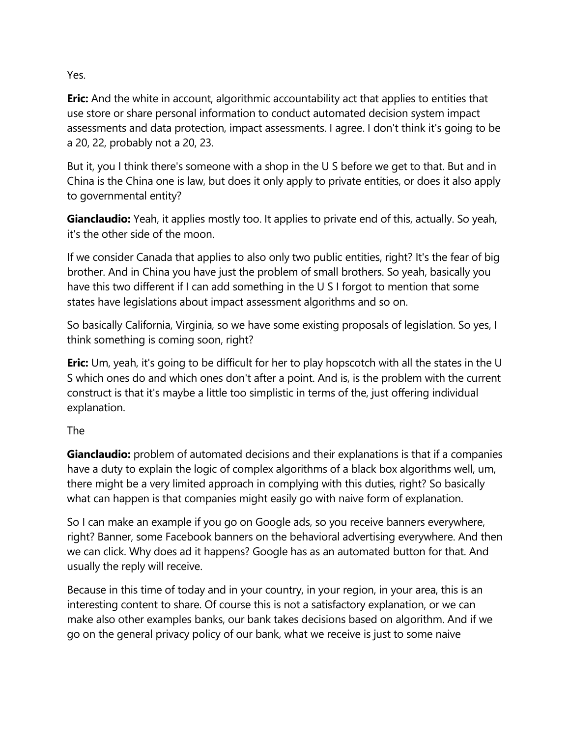Yes.

**Eric:** And the white in account, algorithmic accountability act that applies to entities that use store or share personal information to conduct automated decision system impact assessments and data protection, impact assessments. I agree. I don't think it's going to be a 20, 22, probably not a 20, 23.

But it, you I think there's someone with a shop in the U S before we get to that. But and in China is the China one is law, but does it only apply to private entities, or does it also apply to governmental entity?

**Gianclaudio:** Yeah, it applies mostly too. It applies to private end of this, actually. So yeah, it's the other side of the moon.

If we consider Canada that applies to also only two public entities, right? It's the fear of big brother. And in China you have just the problem of small brothers. So yeah, basically you have this two different if I can add something in the U S I forgot to mention that some states have legislations about impact assessment algorithms and so on.

So basically California, Virginia, so we have some existing proposals of legislation. So yes, I think something is coming soon, right?

**Eric:** Um, yeah, it's going to be difficult for her to play hopscotch with all the states in the U S which ones do and which ones don't after a point. And is, is the problem with the current construct is that it's maybe a little too simplistic in terms of the, just offering individual explanation.

## The

**Gianclaudio:** problem of automated decisions and their explanations is that if a companies have a duty to explain the logic of complex algorithms of a black box algorithms well, um, there might be a very limited approach in complying with this duties, right? So basically what can happen is that companies might easily go with naive form of explanation.

So I can make an example if you go on Google ads, so you receive banners everywhere, right? Banner, some Facebook banners on the behavioral advertising everywhere. And then we can click. Why does ad it happens? Google has as an automated button for that. And usually the reply will receive.

Because in this time of today and in your country, in your region, in your area, this is an interesting content to share. Of course this is not a satisfactory explanation, or we can make also other examples banks, our bank takes decisions based on algorithm. And if we go on the general privacy policy of our bank, what we receive is just to some naive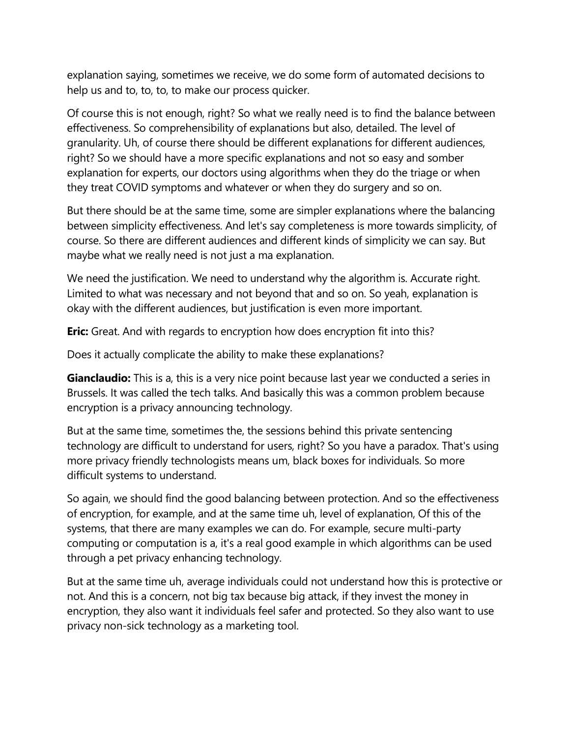explanation saying, sometimes we receive, we do some form of automated decisions to help us and to, to, to, to make our process quicker.

Of course this is not enough, right? So what we really need is to find the balance between effectiveness. So comprehensibility of explanations but also, detailed. The level of granularity. Uh, of course there should be different explanations for different audiences, right? So we should have a more specific explanations and not so easy and somber explanation for experts, our doctors using algorithms when they do the triage or when they treat COVID symptoms and whatever or when they do surgery and so on.

But there should be at the same time, some are simpler explanations where the balancing between simplicity effectiveness. And let's say completeness is more towards simplicity, of course. So there are different audiences and different kinds of simplicity we can say. But maybe what we really need is not just a ma explanation.

We need the justification. We need to understand why the algorithm is. Accurate right. Limited to what was necessary and not beyond that and so on. So yeah, explanation is okay with the different audiences, but justification is even more important.

**Eric:** Great. And with regards to encryption how does encryption fit into this?

Does it actually complicate the ability to make these explanations?

**Gianclaudio:** This is a, this is a very nice point because last year we conducted a series in Brussels. It was called the tech talks. And basically this was a common problem because encryption is a privacy announcing technology.

But at the same time, sometimes the, the sessions behind this private sentencing technology are difficult to understand for users, right? So you have a paradox. That's using more privacy friendly technologists means um, black boxes for individuals. So more difficult systems to understand.

So again, we should find the good balancing between protection. And so the effectiveness of encryption, for example, and at the same time uh, level of explanation, Of this of the systems, that there are many examples we can do. For example, secure multi-party computing or computation is a, it's a real good example in which algorithms can be used through a pet privacy enhancing technology.

But at the same time uh, average individuals could not understand how this is protective or not. And this is a concern, not big tax because big attack, if they invest the money in encryption, they also want it individuals feel safer and protected. So they also want to use privacy non-sick technology as a marketing tool.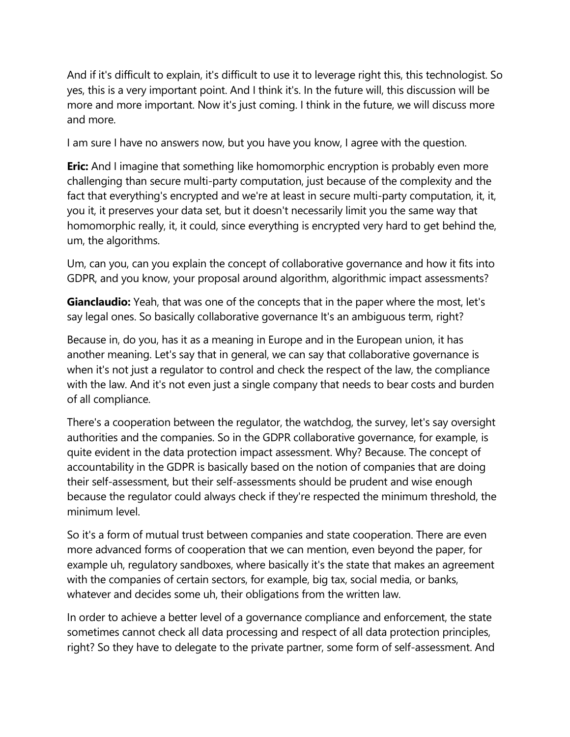And if it's difficult to explain, it's difficult to use it to leverage right this, this technologist. So yes, this is a very important point. And I think it's. In the future will, this discussion will be more and more important. Now it's just coming. I think in the future, we will discuss more and more.

I am sure I have no answers now, but you have you know, I agree with the question.

**Eric:** And I imagine that something like homomorphic encryption is probably even more challenging than secure multi-party computation, just because of the complexity and the fact that everything's encrypted and we're at least in secure multi-party computation, it, it, you it, it preserves your data set, but it doesn't necessarily limit you the same way that homomorphic really, it, it could, since everything is encrypted very hard to get behind the, um, the algorithms.

Um, can you, can you explain the concept of collaborative governance and how it fits into GDPR, and you know, your proposal around algorithm, algorithmic impact assessments?

**Gianclaudio:** Yeah, that was one of the concepts that in the paper where the most, let's say legal ones. So basically collaborative governance It's an ambiguous term, right?

Because in, do you, has it as a meaning in Europe and in the European union, it has another meaning. Let's say that in general, we can say that collaborative governance is when it's not just a regulator to control and check the respect of the law, the compliance with the law. And it's not even just a single company that needs to bear costs and burden of all compliance.

There's a cooperation between the regulator, the watchdog, the survey, let's say oversight authorities and the companies. So in the GDPR collaborative governance, for example, is quite evident in the data protection impact assessment. Why? Because. The concept of accountability in the GDPR is basically based on the notion of companies that are doing their self-assessment, but their self-assessments should be prudent and wise enough because the regulator could always check if they're respected the minimum threshold, the minimum level.

So it's a form of mutual trust between companies and state cooperation. There are even more advanced forms of cooperation that we can mention, even beyond the paper, for example uh, regulatory sandboxes, where basically it's the state that makes an agreement with the companies of certain sectors, for example, big tax, social media, or banks, whatever and decides some uh, their obligations from the written law.

In order to achieve a better level of a governance compliance and enforcement, the state sometimes cannot check all data processing and respect of all data protection principles, right? So they have to delegate to the private partner, some form of self-assessment. And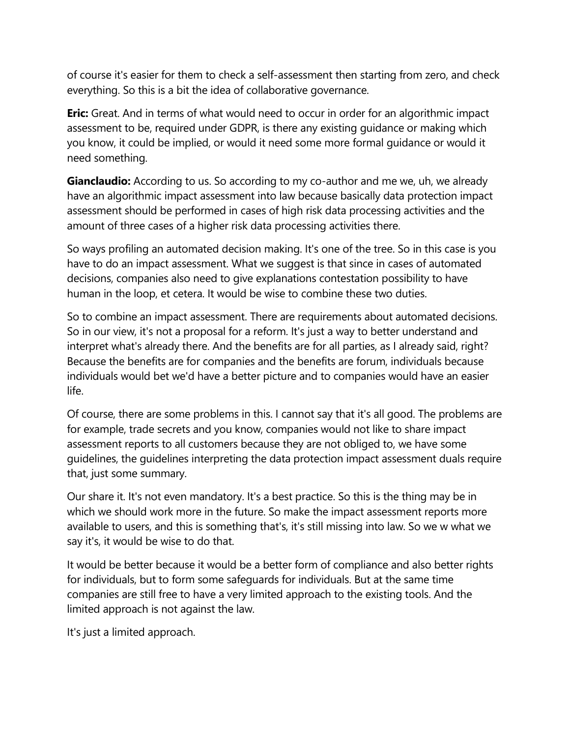of course it's easier for them to check a self-assessment then starting from zero, and check everything. So this is a bit the idea of collaborative governance.

**Eric:** Great. And in terms of what would need to occur in order for an algorithmic impact assessment to be, required under GDPR, is there any existing guidance or making which you know, it could be implied, or would it need some more formal guidance or would it need something.

**Gianclaudio:** According to us. So according to my co-author and me we, uh, we already have an algorithmic impact assessment into law because basically data protection impact assessment should be performed in cases of high risk data processing activities and the amount of three cases of a higher risk data processing activities there.

So ways profiling an automated decision making. It's one of the tree. So in this case is you have to do an impact assessment. What we suggest is that since in cases of automated decisions, companies also need to give explanations contestation possibility to have human in the loop, et cetera. It would be wise to combine these two duties.

So to combine an impact assessment. There are requirements about automated decisions. So in our view, it's not a proposal for a reform. It's just a way to better understand and interpret what's already there. And the benefits are for all parties, as I already said, right? Because the benefits are for companies and the benefits are forum, individuals because individuals would bet we'd have a better picture and to companies would have an easier life.

Of course, there are some problems in this. I cannot say that it's all good. The problems are for example, trade secrets and you know, companies would not like to share impact assessment reports to all customers because they are not obliged to, we have some guidelines, the guidelines interpreting the data protection impact assessment duals require that, just some summary.

Our share it. It's not even mandatory. It's a best practice. So this is the thing may be in which we should work more in the future. So make the impact assessment reports more available to users, and this is something that's, it's still missing into law. So we w what we say it's, it would be wise to do that.

It would be better because it would be a better form of compliance and also better rights for individuals, but to form some safeguards for individuals. But at the same time companies are still free to have a very limited approach to the existing tools. And the limited approach is not against the law.

It's just a limited approach.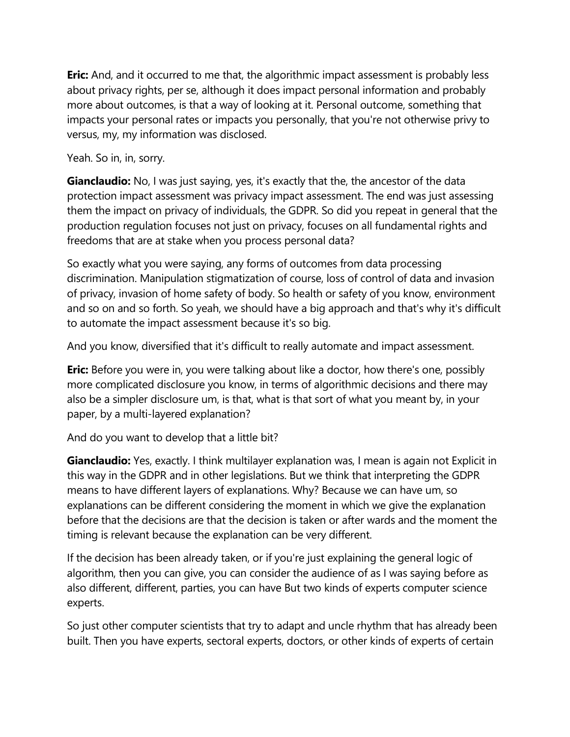**Eric:** And, and it occurred to me that, the algorithmic impact assessment is probably less about privacy rights, per se, although it does impact personal information and probably more about outcomes, is that a way of looking at it. Personal outcome, something that impacts your personal rates or impacts you personally, that you're not otherwise privy to versus, my, my information was disclosed.

Yeah. So in, in, sorry.

**Gianclaudio:** No, I was just saying, yes, it's exactly that the, the ancestor of the data protection impact assessment was privacy impact assessment. The end was just assessing them the impact on privacy of individuals, the GDPR. So did you repeat in general that the production regulation focuses not just on privacy, focuses on all fundamental rights and freedoms that are at stake when you process personal data?

So exactly what you were saying, any forms of outcomes from data processing discrimination. Manipulation stigmatization of course, loss of control of data and invasion of privacy, invasion of home safety of body. So health or safety of you know, environment and so on and so forth. So yeah, we should have a big approach and that's why it's difficult to automate the impact assessment because it's so big.

And you know, diversified that it's difficult to really automate and impact assessment.

**Eric:** Before you were in, you were talking about like a doctor, how there's one, possibly more complicated disclosure you know, in terms of algorithmic decisions and there may also be a simpler disclosure um, is that, what is that sort of what you meant by, in your paper, by a multi-layered explanation?

And do you want to develop that a little bit?

**Gianclaudio:** Yes, exactly. I think multilayer explanation was, I mean is again not Explicit in this way in the GDPR and in other legislations. But we think that interpreting the GDPR means to have different layers of explanations. Why? Because we can have um, so explanations can be different considering the moment in which we give the explanation before that the decisions are that the decision is taken or after wards and the moment the timing is relevant because the explanation can be very different.

If the decision has been already taken, or if you're just explaining the general logic of algorithm, then you can give, you can consider the audience of as I was saying before as also different, different, parties, you can have But two kinds of experts computer science experts.

So just other computer scientists that try to adapt and uncle rhythm that has already been built. Then you have experts, sectoral experts, doctors, or other kinds of experts of certain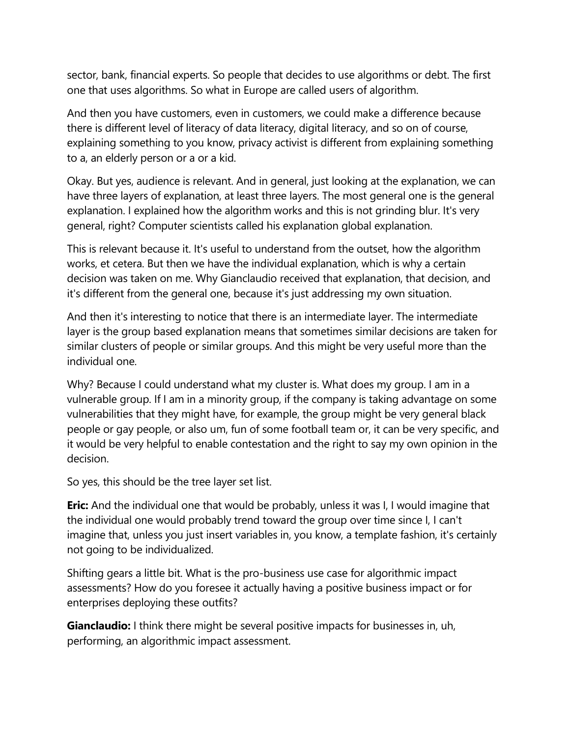sector, bank, financial experts. So people that decides to use algorithms or debt. The first one that uses algorithms. So what in Europe are called users of algorithm.

And then you have customers, even in customers, we could make a difference because there is different level of literacy of data literacy, digital literacy, and so on of course, explaining something to you know, privacy activist is different from explaining something to a, an elderly person or a or a kid.

Okay. But yes, audience is relevant. And in general, just looking at the explanation, we can have three layers of explanation, at least three layers. The most general one is the general explanation. I explained how the algorithm works and this is not grinding blur. It's very general, right? Computer scientists called his explanation global explanation.

This is relevant because it. It's useful to understand from the outset, how the algorithm works, et cetera. But then we have the individual explanation, which is why a certain decision was taken on me. Why Gianclaudio received that explanation, that decision, and it's different from the general one, because it's just addressing my own situation.

And then it's interesting to notice that there is an intermediate layer. The intermediate layer is the group based explanation means that sometimes similar decisions are taken for similar clusters of people or similar groups. And this might be very useful more than the individual one.

Why? Because I could understand what my cluster is. What does my group. I am in a vulnerable group. If I am in a minority group, if the company is taking advantage on some vulnerabilities that they might have, for example, the group might be very general black people or gay people, or also um, fun of some football team or, it can be very specific, and it would be very helpful to enable contestation and the right to say my own opinion in the decision.

So yes, this should be the tree layer set list.

**Eric:** And the individual one that would be probably, unless it was I, I would imagine that the individual one would probably trend toward the group over time since I, I can't imagine that, unless you just insert variables in, you know, a template fashion, it's certainly not going to be individualized.

Shifting gears a little bit. What is the pro-business use case for algorithmic impact assessments? How do you foresee it actually having a positive business impact or for enterprises deploying these outfits?

**Gianclaudio:** I think there might be several positive impacts for businesses in, uh, performing, an algorithmic impact assessment.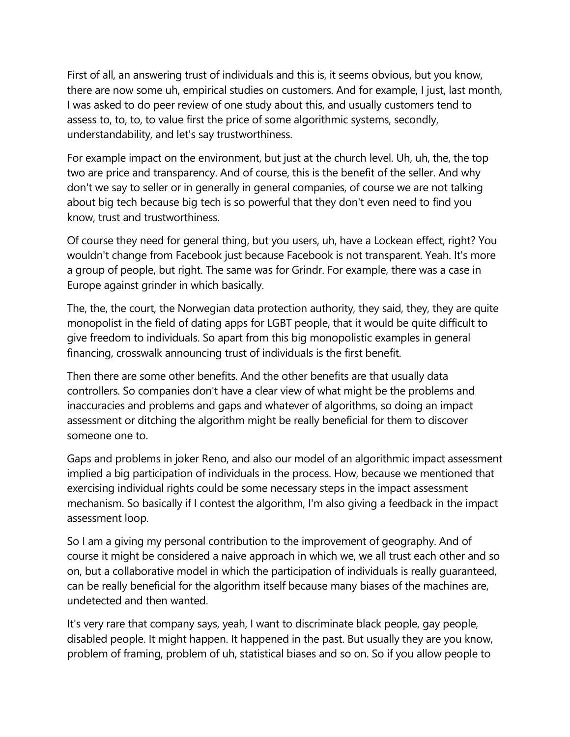First of all, an answering trust of individuals and this is, it seems obvious, but you know, there are now some uh, empirical studies on customers. And for example, I just, last month, I was asked to do peer review of one study about this, and usually customers tend to assess to, to, to, to value first the price of some algorithmic systems, secondly, understandability, and let's say trustworthiness.

For example impact on the environment, but just at the church level. Uh, uh, the, the top two are price and transparency. And of course, this is the benefit of the seller. And why don't we say to seller or in generally in general companies, of course we are not talking about big tech because big tech is so powerful that they don't even need to find you know, trust and trustworthiness.

Of course they need for general thing, but you users, uh, have a Lockean effect, right? You wouldn't change from Facebook just because Facebook is not transparent. Yeah. It's more a group of people, but right. The same was for Grindr. For example, there was a case in Europe against grinder in which basically.

The, the, the court, the Norwegian data protection authority, they said, they, they are quite monopolist in the field of dating apps for LGBT people, that it would be quite difficult to give freedom to individuals. So apart from this big monopolistic examples in general financing, crosswalk announcing trust of individuals is the first benefit.

Then there are some other benefits. And the other benefits are that usually data controllers. So companies don't have a clear view of what might be the problems and inaccuracies and problems and gaps and whatever of algorithms, so doing an impact assessment or ditching the algorithm might be really beneficial for them to discover someone one to.

Gaps and problems in joker Reno, and also our model of an algorithmic impact assessment implied a big participation of individuals in the process. How, because we mentioned that exercising individual rights could be some necessary steps in the impact assessment mechanism. So basically if I contest the algorithm, I'm also giving a feedback in the impact assessment loop.

So I am a giving my personal contribution to the improvement of geography. And of course it might be considered a naive approach in which we, we all trust each other and so on, but a collaborative model in which the participation of individuals is really guaranteed, can be really beneficial for the algorithm itself because many biases of the machines are, undetected and then wanted.

It's very rare that company says, yeah, I want to discriminate black people, gay people, disabled people. It might happen. It happened in the past. But usually they are you know, problem of framing, problem of uh, statistical biases and so on. So if you allow people to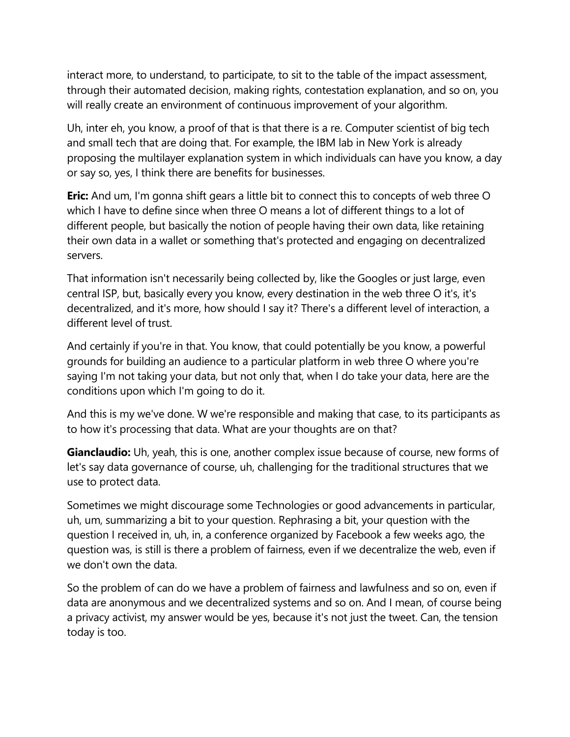interact more, to understand, to participate, to sit to the table of the impact assessment, through their automated decision, making rights, contestation explanation, and so on, you will really create an environment of continuous improvement of your algorithm.

Uh, inter eh, you know, a proof of that is that there is a re. Computer scientist of big tech and small tech that are doing that. For example, the IBM lab in New York is already proposing the multilayer explanation system in which individuals can have you know, a day or say so, yes, I think there are benefits for businesses.

**Eric:** And um, I'm gonna shift gears a little bit to connect this to concepts of web three O which I have to define since when three O means a lot of different things to a lot of different people, but basically the notion of people having their own data, like retaining their own data in a wallet or something that's protected and engaging on decentralized servers.

That information isn't necessarily being collected by, like the Googles or just large, even central ISP, but, basically every you know, every destination in the web three O it's, it's decentralized, and it's more, how should I say it? There's a different level of interaction, a different level of trust.

And certainly if you're in that. You know, that could potentially be you know, a powerful grounds for building an audience to a particular platform in web three O where you're saying I'm not taking your data, but not only that, when I do take your data, here are the conditions upon which I'm going to do it.

And this is my we've done. W we're responsible and making that case, to its participants as to how it's processing that data. What are your thoughts are on that?

**Gianclaudio:** Uh, yeah, this is one, another complex issue because of course, new forms of let's say data governance of course, uh, challenging for the traditional structures that we use to protect data.

Sometimes we might discourage some Technologies or good advancements in particular, uh, um, summarizing a bit to your question. Rephrasing a bit, your question with the question I received in, uh, in, a conference organized by Facebook a few weeks ago, the question was, is still is there a problem of fairness, even if we decentralize the web, even if we don't own the data.

So the problem of can do we have a problem of fairness and lawfulness and so on, even if data are anonymous and we decentralized systems and so on. And I mean, of course being a privacy activist, my answer would be yes, because it's not just the tweet. Can, the tension today is too.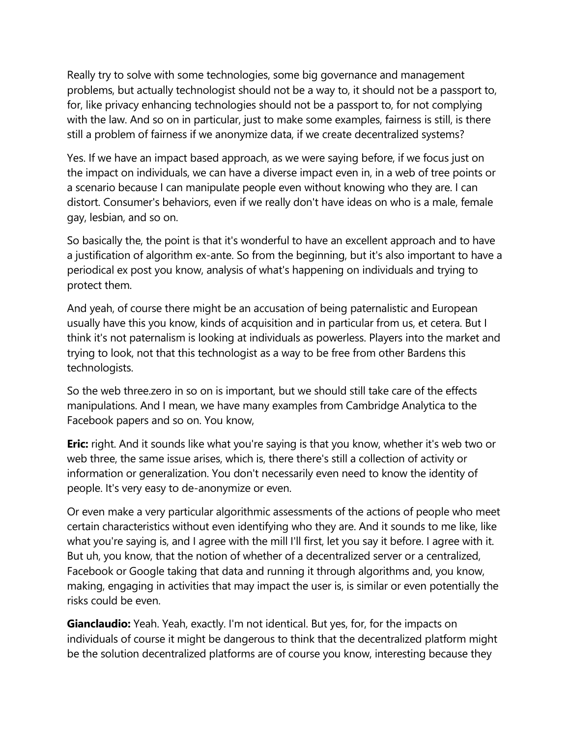Really try to solve with some technologies, some big governance and management problems, but actually technologist should not be a way to, it should not be a passport to, for, like privacy enhancing technologies should not be a passport to, for not complying with the law. And so on in particular, just to make some examples, fairness is still, is there still a problem of fairness if we anonymize data, if we create decentralized systems?

Yes. If we have an impact based approach, as we were saying before, if we focus just on the impact on individuals, we can have a diverse impact even in, in a web of tree points or a scenario because I can manipulate people even without knowing who they are. I can distort. Consumer's behaviors, even if we really don't have ideas on who is a male, female gay, lesbian, and so on.

So basically the, the point is that it's wonderful to have an excellent approach and to have a justification of algorithm ex-ante. So from the beginning, but it's also important to have a periodical ex post you know, analysis of what's happening on individuals and trying to protect them.

And yeah, of course there might be an accusation of being paternalistic and European usually have this you know, kinds of acquisition and in particular from us, et cetera. But I think it's not paternalism is looking at individuals as powerless. Players into the market and trying to look, not that this technologist as a way to be free from other Bardens this technologists.

So the web three.zero in so on is important, but we should still take care of the effects manipulations. And I mean, we have many examples from Cambridge Analytica to the Facebook papers and so on. You know,

**Eric:** right. And it sounds like what you're saying is that you know, whether it's web two or web three, the same issue arises, which is, there there's still a collection of activity or information or generalization. You don't necessarily even need to know the identity of people. It's very easy to de-anonymize or even.

Or even make a very particular algorithmic assessments of the actions of people who meet certain characteristics without even identifying who they are. And it sounds to me like, like what you're saying is, and I agree with the mill I'll first, let you say it before. I agree with it. But uh, you know, that the notion of whether of a decentralized server or a centralized, Facebook or Google taking that data and running it through algorithms and, you know, making, engaging in activities that may impact the user is, is similar or even potentially the risks could be even.

**Gianclaudio:** Yeah. Yeah, exactly. I'm not identical. But yes, for, for the impacts on individuals of course it might be dangerous to think that the decentralized platform might be the solution decentralized platforms are of course you know, interesting because they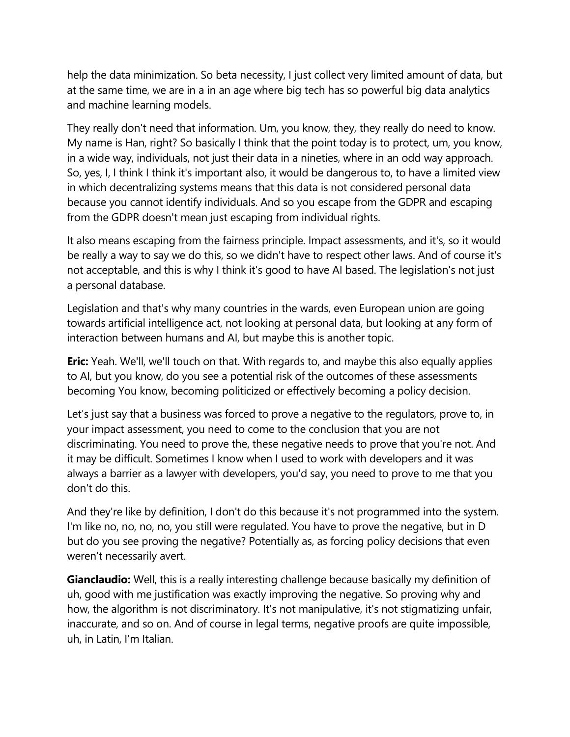help the data minimization. So beta necessity, I just collect very limited amount of data, but at the same time, we are in a in an age where big tech has so powerful big data analytics and machine learning models.

They really don't need that information. Um, you know, they, they really do need to know. My name is Han, right? So basically I think that the point today is to protect, um, you know, in a wide way, individuals, not just their data in a nineties, where in an odd way approach. So, yes, I, I think I think it's important also, it would be dangerous to, to have a limited view in which decentralizing systems means that this data is not considered personal data because you cannot identify individuals. And so you escape from the GDPR and escaping from the GDPR doesn't mean just escaping from individual rights.

It also means escaping from the fairness principle. Impact assessments, and it's, so it would be really a way to say we do this, so we didn't have to respect other laws. And of course it's not acceptable, and this is why I think it's good to have AI based. The legislation's not just a personal database.

Legislation and that's why many countries in the wards, even European union are going towards artificial intelligence act, not looking at personal data, but looking at any form of interaction between humans and AI, but maybe this is another topic.

**Eric:** Yeah. We'll, we'll touch on that. With regards to, and maybe this also equally applies to AI, but you know, do you see a potential risk of the outcomes of these assessments becoming You know, becoming politicized or effectively becoming a policy decision.

Let's just say that a business was forced to prove a negative to the regulators, prove to, in your impact assessment, you need to come to the conclusion that you are not discriminating. You need to prove the, these negative needs to prove that you're not. And it may be difficult. Sometimes I know when I used to work with developers and it was always a barrier as a lawyer with developers, you'd say, you need to prove to me that you don't do this.

And they're like by definition, I don't do this because it's not programmed into the system. I'm like no, no, no, no, you still were regulated. You have to prove the negative, but in D but do you see proving the negative? Potentially as, as forcing policy decisions that even weren't necessarily avert.

**Gianclaudio:** Well, this is a really interesting challenge because basically my definition of uh, good with me justification was exactly improving the negative. So proving why and how, the algorithm is not discriminatory. It's not manipulative, it's not stigmatizing unfair, inaccurate, and so on. And of course in legal terms, negative proofs are quite impossible, uh, in Latin, I'm Italian.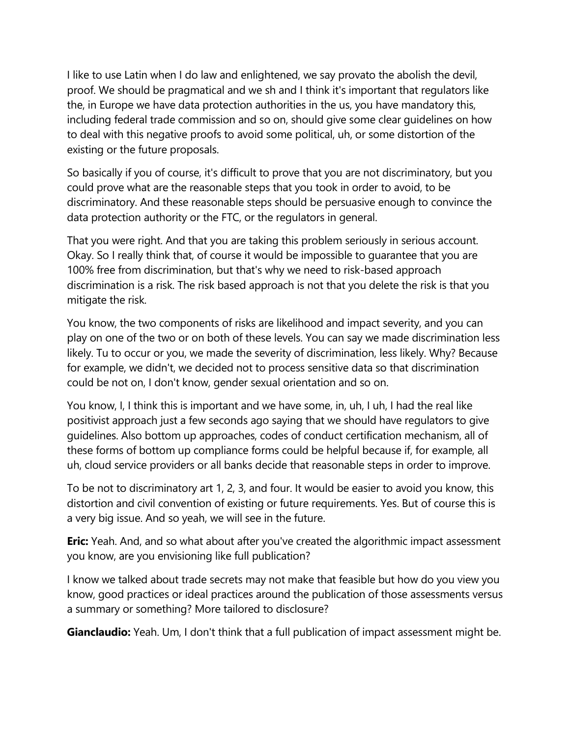I like to use Latin when I do law and enlightened, we say provato the abolish the devil, proof. We should be pragmatical and we sh and I think it's important that regulators like the, in Europe we have data protection authorities in the us, you have mandatory this, including federal trade commission and so on, should give some clear guidelines on how to deal with this negative proofs to avoid some political, uh, or some distortion of the existing or the future proposals.

So basically if you of course, it's difficult to prove that you are not discriminatory, but you could prove what are the reasonable steps that you took in order to avoid, to be discriminatory. And these reasonable steps should be persuasive enough to convince the data protection authority or the FTC, or the regulators in general.

That you were right. And that you are taking this problem seriously in serious account. Okay. So I really think that, of course it would be impossible to guarantee that you are 100% free from discrimination, but that's why we need to risk-based approach discrimination is a risk. The risk based approach is not that you delete the risk is that you mitigate the risk.

You know, the two components of risks are likelihood and impact severity, and you can play on one of the two or on both of these levels. You can say we made discrimination less likely. Tu to occur or you, we made the severity of discrimination, less likely. Why? Because for example, we didn't, we decided not to process sensitive data so that discrimination could be not on, I don't know, gender sexual orientation and so on.

You know, I, I think this is important and we have some, in, uh, I uh, I had the real like positivist approach just a few seconds ago saying that we should have regulators to give guidelines. Also bottom up approaches, codes of conduct certification mechanism, all of these forms of bottom up compliance forms could be helpful because if, for example, all uh, cloud service providers or all banks decide that reasonable steps in order to improve.

To be not to discriminatory art 1, 2, 3, and four. It would be easier to avoid you know, this distortion and civil convention of existing or future requirements. Yes. But of course this is a very big issue. And so yeah, we will see in the future.

**Eric:** Yeah. And, and so what about after you've created the algorithmic impact assessment you know, are you envisioning like full publication?

I know we talked about trade secrets may not make that feasible but how do you view you know, good practices or ideal practices around the publication of those assessments versus a summary or something? More tailored to disclosure?

**Gianclaudio:** Yeah. Um, I don't think that a full publication of impact assessment might be.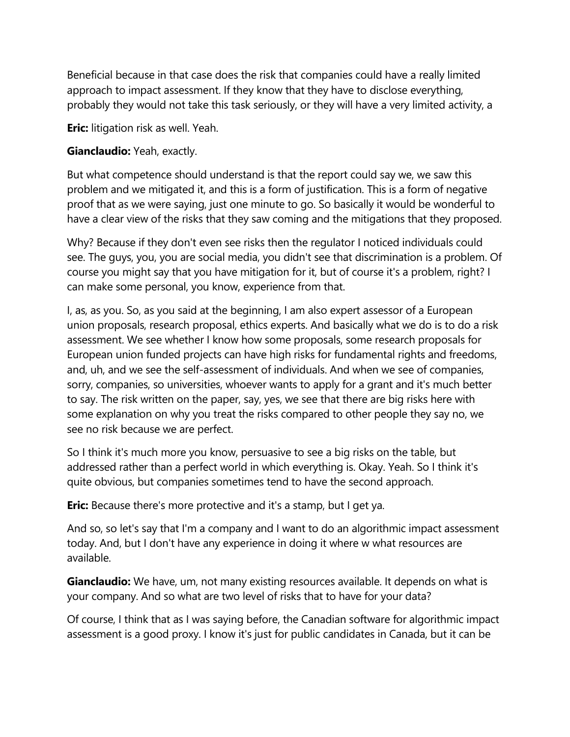Beneficial because in that case does the risk that companies could have a really limited approach to impact assessment. If they know that they have to disclose everything, probably they would not take this task seriously, or they will have a very limited activity, a

**Eric:** litigation risk as well. Yeah.

## **Gianclaudio:** Yeah, exactly.

But what competence should understand is that the report could say we, we saw this problem and we mitigated it, and this is a form of justification. This is a form of negative proof that as we were saying, just one minute to go. So basically it would be wonderful to have a clear view of the risks that they saw coming and the mitigations that they proposed.

Why? Because if they don't even see risks then the regulator I noticed individuals could see. The guys, you, you are social media, you didn't see that discrimination is a problem. Of course you might say that you have mitigation for it, but of course it's a problem, right? I can make some personal, you know, experience from that.

I, as, as you. So, as you said at the beginning, I am also expert assessor of a European union proposals, research proposal, ethics experts. And basically what we do is to do a risk assessment. We see whether I know how some proposals, some research proposals for European union funded projects can have high risks for fundamental rights and freedoms, and, uh, and we see the self-assessment of individuals. And when we see of companies, sorry, companies, so universities, whoever wants to apply for a grant and it's much better to say. The risk written on the paper, say, yes, we see that there are big risks here with some explanation on why you treat the risks compared to other people they say no, we see no risk because we are perfect.

So I think it's much more you know, persuasive to see a big risks on the table, but addressed rather than a perfect world in which everything is. Okay. Yeah. So I think it's quite obvious, but companies sometimes tend to have the second approach.

**Eric:** Because there's more protective and it's a stamp, but I get ya.

And so, so let's say that I'm a company and I want to do an algorithmic impact assessment today. And, but I don't have any experience in doing it where w what resources are available.

**Gianclaudio:** We have, um, not many existing resources available. It depends on what is your company. And so what are two level of risks that to have for your data?

Of course, I think that as I was saying before, the Canadian software for algorithmic impact assessment is a good proxy. I know it's just for public candidates in Canada, but it can be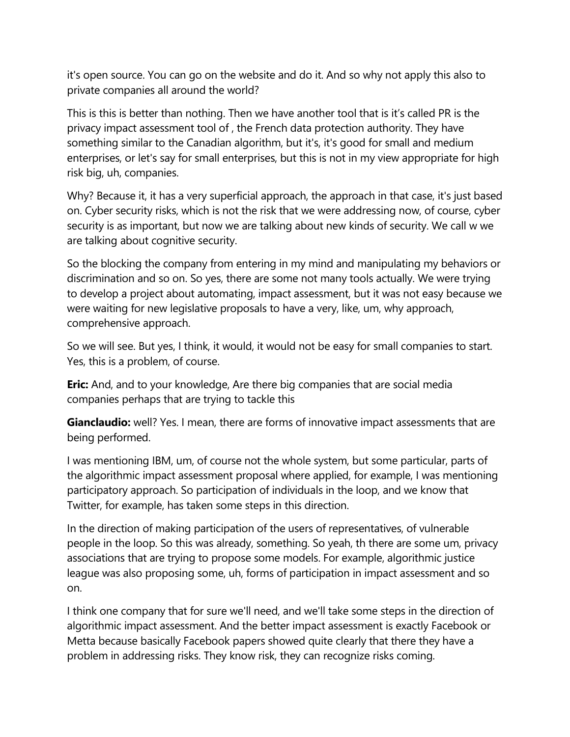it's open source. You can go on the website and do it. And so why not apply this also to private companies all around the world?

This is this is better than nothing. Then we have another tool that is it's called PR is the privacy impact assessment tool of , the French data protection authority. They have something similar to the Canadian algorithm, but it's, it's good for small and medium enterprises, or let's say for small enterprises, but this is not in my view appropriate for high risk big, uh, companies.

Why? Because it, it has a very superficial approach, the approach in that case, it's just based on. Cyber security risks, which is not the risk that we were addressing now, of course, cyber security is as important, but now we are talking about new kinds of security. We call w we are talking about cognitive security.

So the blocking the company from entering in my mind and manipulating my behaviors or discrimination and so on. So yes, there are some not many tools actually. We were trying to develop a project about automating, impact assessment, but it was not easy because we were waiting for new legislative proposals to have a very, like, um, why approach, comprehensive approach.

So we will see. But yes, I think, it would, it would not be easy for small companies to start. Yes, this is a problem, of course.

**Eric:** And, and to your knowledge, Are there big companies that are social media companies perhaps that are trying to tackle this

**Gianclaudio:** well? Yes. I mean, there are forms of innovative impact assessments that are being performed.

I was mentioning IBM, um, of course not the whole system, but some particular, parts of the algorithmic impact assessment proposal where applied, for example, I was mentioning participatory approach. So participation of individuals in the loop, and we know that Twitter, for example, has taken some steps in this direction.

In the direction of making participation of the users of representatives, of vulnerable people in the loop. So this was already, something. So yeah, th there are some um, privacy associations that are trying to propose some models. For example, algorithmic justice league was also proposing some, uh, forms of participation in impact assessment and so on.

I think one company that for sure we'll need, and we'll take some steps in the direction of algorithmic impact assessment. And the better impact assessment is exactly Facebook or Metta because basically Facebook papers showed quite clearly that there they have a problem in addressing risks. They know risk, they can recognize risks coming.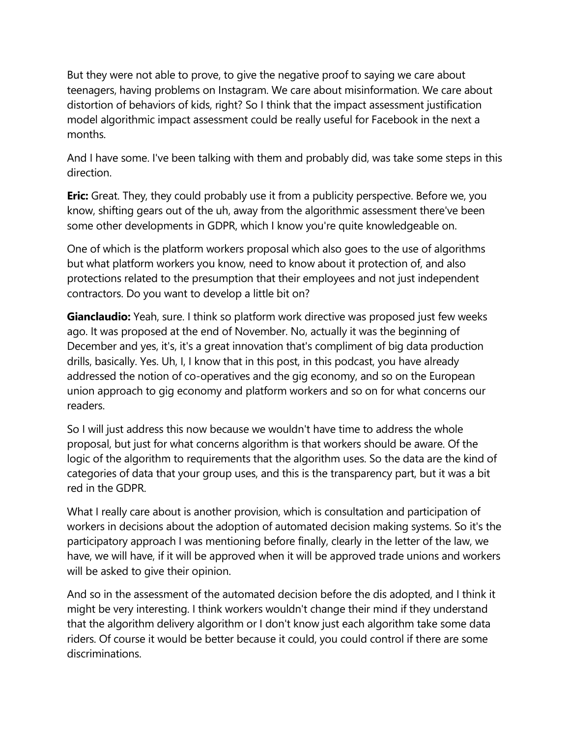But they were not able to prove, to give the negative proof to saying we care about teenagers, having problems on Instagram. We care about misinformation. We care about distortion of behaviors of kids, right? So I think that the impact assessment justification model algorithmic impact assessment could be really useful for Facebook in the next a months.

And I have some. I've been talking with them and probably did, was take some steps in this direction.

**Eric:** Great. They, they could probably use it from a publicity perspective. Before we, you know, shifting gears out of the uh, away from the algorithmic assessment there've been some other developments in GDPR, which I know you're quite knowledgeable on.

One of which is the platform workers proposal which also goes to the use of algorithms but what platform workers you know, need to know about it protection of, and also protections related to the presumption that their employees and not just independent contractors. Do you want to develop a little bit on?

**Gianclaudio:** Yeah, sure. I think so platform work directive was proposed just few weeks ago. It was proposed at the end of November. No, actually it was the beginning of December and yes, it's, it's a great innovation that's compliment of big data production drills, basically. Yes. Uh, I, I know that in this post, in this podcast, you have already addressed the notion of co-operatives and the gig economy, and so on the European union approach to gig economy and platform workers and so on for what concerns our readers.

So I will just address this now because we wouldn't have time to address the whole proposal, but just for what concerns algorithm is that workers should be aware. Of the logic of the algorithm to requirements that the algorithm uses. So the data are the kind of categories of data that your group uses, and this is the transparency part, but it was a bit red in the GDPR.

What I really care about is another provision, which is consultation and participation of workers in decisions about the adoption of automated decision making systems. So it's the participatory approach I was mentioning before finally, clearly in the letter of the law, we have, we will have, if it will be approved when it will be approved trade unions and workers will be asked to give their opinion.

And so in the assessment of the automated decision before the dis adopted, and I think it might be very interesting. I think workers wouldn't change their mind if they understand that the algorithm delivery algorithm or I don't know just each algorithm take some data riders. Of course it would be better because it could, you could control if there are some discriminations.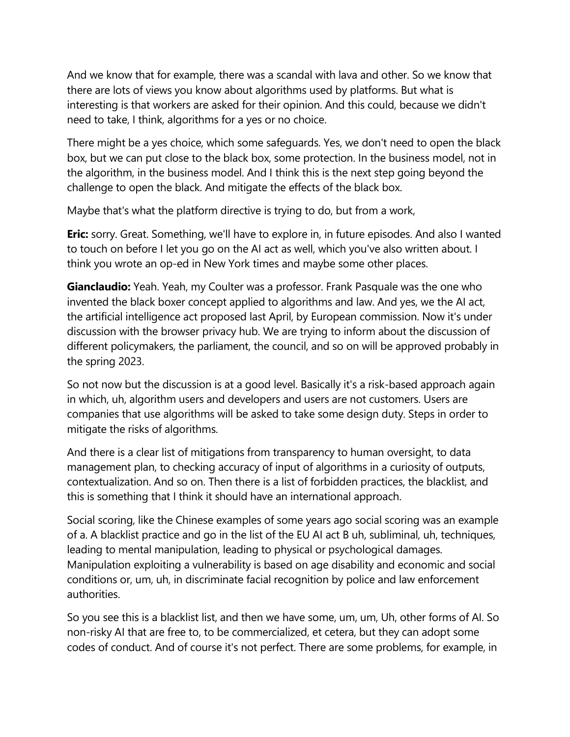And we know that for example, there was a scandal with lava and other. So we know that there are lots of views you know about algorithms used by platforms. But what is interesting is that workers are asked for their opinion. And this could, because we didn't need to take, I think, algorithms for a yes or no choice.

There might be a yes choice, which some safeguards. Yes, we don't need to open the black box, but we can put close to the black box, some protection. In the business model, not in the algorithm, in the business model. And I think this is the next step going beyond the challenge to open the black. And mitigate the effects of the black box.

Maybe that's what the platform directive is trying to do, but from a work,

**Eric:** sorry. Great. Something, we'll have to explore in, in future episodes. And also I wanted to touch on before I let you go on the AI act as well, which you've also written about. I think you wrote an op-ed in New York times and maybe some other places.

**Gianclaudio:** Yeah. Yeah, my Coulter was a professor. Frank Pasquale was the one who invented the black boxer concept applied to algorithms and law. And yes, we the AI act, the artificial intelligence act proposed last April, by European commission. Now it's under discussion with the browser privacy hub. We are trying to inform about the discussion of different policymakers, the parliament, the council, and so on will be approved probably in the spring 2023.

So not now but the discussion is at a good level. Basically it's a risk-based approach again in which, uh, algorithm users and developers and users are not customers. Users are companies that use algorithms will be asked to take some design duty. Steps in order to mitigate the risks of algorithms.

And there is a clear list of mitigations from transparency to human oversight, to data management plan, to checking accuracy of input of algorithms in a curiosity of outputs, contextualization. And so on. Then there is a list of forbidden practices, the blacklist, and this is something that I think it should have an international approach.

Social scoring, like the Chinese examples of some years ago social scoring was an example of a. A blacklist practice and go in the list of the EU AI act B uh, subliminal, uh, techniques, leading to mental manipulation, leading to physical or psychological damages. Manipulation exploiting a vulnerability is based on age disability and economic and social conditions or, um, uh, in discriminate facial recognition by police and law enforcement authorities.

So you see this is a blacklist list, and then we have some, um, um, Uh, other forms of AI. So non-risky AI that are free to, to be commercialized, et cetera, but they can adopt some codes of conduct. And of course it's not perfect. There are some problems, for example, in